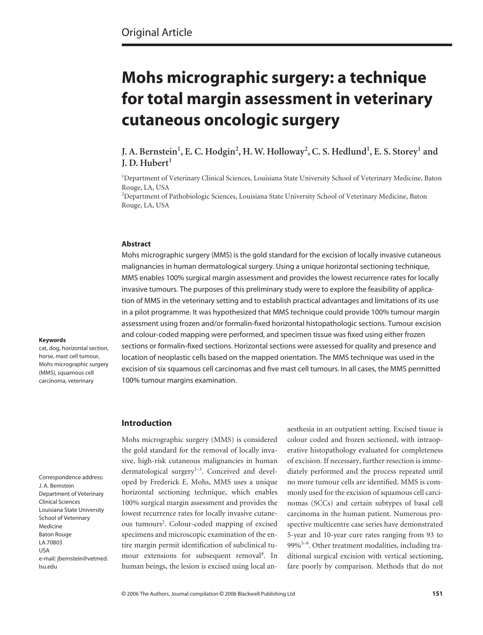# **Mohs micrographic surgery: a technique for total margin assessment in veterinary cutaneous oncologic surgery**

J. A. Bernstein<sup>1</sup>, E. C. Hodgin<sup>2</sup>, H. W. Holloway<sup>2</sup>, C. S. Hedlund<sup>1</sup>, E. S. Storey<sup>1</sup> and **J. D. Hubert**<sup>1</sup>

<sup>1</sup>Department of Veterinary Clinical Sciences, Louisiana State University School of Veterinary Medicine, Baton Rouge, LA, USA

2 Department of Pathobiologic Sciences, Louisiana State University School of Veterinary Medicine, Baton Rouge, LA, USA

### **Abstract**

Mohs micrographic surgery (MMS) is the gold standard for the excision of locally invasive cutaneous malignancies in human dermatological surgery. Using a unique horizontal sectioning technique, MMS enables 100% surgical margin assessment and provides the lowest recurrence rates for locally invasive tumours. The purposes of this preliminary study were to explore the feasibility of application of MMS in the veterinary setting and to establish practical advantages and limitations of its use in a pilot programme. It was hypothesized that MMS technique could provide 100% tumour margin assessment using frozen and/or formalin-fixed horizontal histopathologic sections. Tumour excision and colour-coded mapping were performed, and specimen tissue was fixed using either frozen sections or formalin-fixed sections. Horizontal sections were assessed for quality and presence and location of neoplastic cells based on the mapped orientation. The MMS technique was used in the excision of six squamous cell carcinomas and five mast cell tumours. In all cases, the MMS permitted 100% tumour margins examination.

## **Keywords**

cat, dog, horizontal section, horse, mast cell tumour, Mohs micrographic surgery (MMS), squamous cell carcinoma, veterinary

 Correspondence address: J. A. Bernstein Department of Veterinary Clinical Sciences Louisiana State University School of Veterinary Medicine Baton Rouge LA 70803 USA e-mail: jbernstein@vetmed. lsu.edu

# **Introduction**

 Mohs micrographic surgery (MMS) is considered the gold standard for the removal of locally invasive, high-risk cutaneous malignancies in human dermatological surgery $1-3$ . Conceived and developed by Frederick E. Mohs, MMS uses a unique horizontal sectioning technique, which enables 100% surgical margin assessment and provides the lowest recurrence rates for locally invasive cutaneous tumours<sup>2</sup>. Colour-coded mapping of excised specimens and microscopic examination of the entire margin permit identification of subclinical tumour extensions for subsequent removal<sup>4</sup>. In human beings, the lesion is excised using local anaesthesia in an outpatient setting. Excised tissue is colour coded and frozen sectioned, with intraoperative histopathology evaluated for completeness of excision. If necessary, further resection is immediately performed and the process repeated until no more tumour cells are identified. MMS is commonly used for the excision of squamous cell carcinomas (SCCs) and certain subtypes of basal cell carcinoma in the human patient. Numerous prospective multicentre case series have demonstrated 5-year and 10-year cure rates ranging from 93 to  $99\%$ <sup>5-9</sup>. Other treatment modalities, including traditional surgical excision with vertical sectioning, fare poorly by comparison. Methods that do not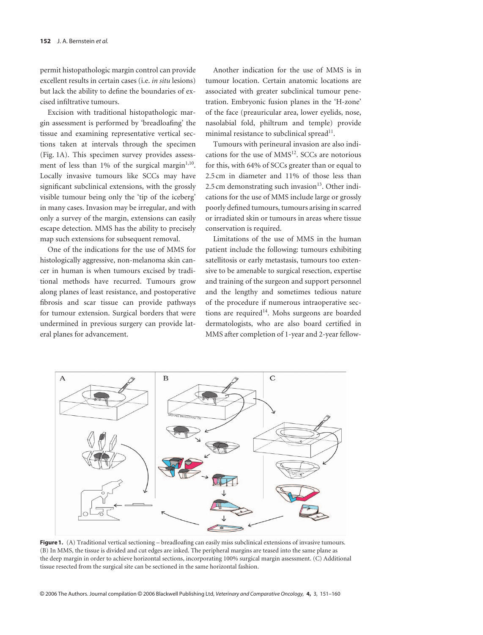permit histopathologic margin control can provide excellent results in certain cases (i.e. *in situ* lesions) but lack the ability to define the boundaries of excised infiltrative tumours.

 Excision with traditional histopathologic margin assessment is performed by 'breadloafing' the tissue and examining representative vertical sections taken at intervals through the specimen ( Fig. 1A). This specimen survey provides assessment of less than 1% of the surgical margin $1,10$ . Locally invasive tumours like SCCs may have significant subclinical extensions, with the grossly visible tumour being only the 'tip of the iceberg' in many cases. Invasion may be irregular, and with only a survey of the margin, extensions can easily escape detection. MMS has the ability to precisely map such extensions for subsequent removal.

 One of the indications for the use of MMS for histologically aggressive, non-melanoma skin cancer in human is when tumours excised by traditional methods have recurred. Tumours grow along planes of least resistance, and postoperative fibrosis and scar tissue can provide pathways for tumour extension. Surgical borders that were undermined in previous surgery can provide lateral planes for advancement.

 Another indication for the use of MMS is in tumour location. Certain anatomic locations are associated with greater subclinical tumour penetration. Embryonic fusion planes in the 'H-zone' of the face (preauricular area, lower eyelids, nose, nasolabial fold, philtrum and temple) provide minimal resistance to subclinical spread $11$ .

 Tumours with perineural invasion are also indications for the use of MMS<sup>12</sup>. SCCs are notorious for this, with 64% of SCCs greater than or equal to 2.5 cm in diameter and 11% of those less than 2.5 cm demonstrating such invasion $^{13}$ . Other indications for the use of MMS include large or grossly poorly defined tumours, tumours arising in scarred or irradiated skin or tumours in areas where tissue conservation is required.

 Limitations of the use of MMS in the human patient include the following: tumours exhibiting satellitosis or early metastasis, tumours too extensive to be amenable to surgical resection, expertise and training of the surgeon and support personnel and the lengthy and sometimes tedious nature of the procedure if numerous intraoperative sections are required<sup>14</sup>. Mohs surgeons are boarded dermatologists, who are also board certified in MMS after completion of 1-year and 2-year fellow-



Figure 1. (A) Traditional vertical sectioning – breadloafing can easily miss subclinical extensions of invasive tumours. (B) In MMS, the tissue is divided and cut edges are inked. The peripheral margins are teased into the same plane as the deep margin in order to achieve horizontal sections, incorporating 100% surgical margin assessment. (C) Additional tissue resected from the surgical site can be sectioned in the same horizontal fashion.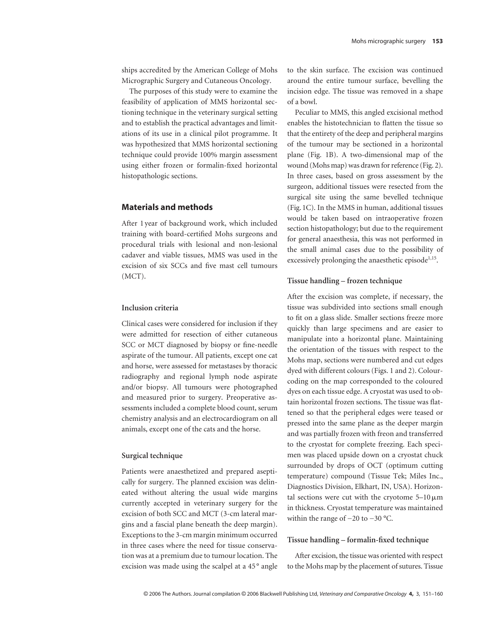ships accredited by the American College of Mohs Micrographic Surgery and Cutaneous Oncology.

 The purposes of this study were to examine the feasibility of application of MMS horizontal sectioning technique in the veterinary surgical setting and to establish the practical advantages and limitations of its use in a clinical pilot programme. It was hypothesized that MMS horizontal sectioning technique could provide 100% margin assessment using either frozen or formalin-fixed horizontal histopathologic sections.

# **Materials and methods**

 After 1 year of background work, which included training with board-certified Mohs surgeons and procedural trials with lesional and non-lesional cadaver and viable tissues, MMS was used in the excision of six SCCs and five mast cell tumours (MCT).

# **Inclusion criteria**

 Clinical cases were considered for inclusion if they were admitted for resection of either cutaneous SCC or MCT diagnosed by biopsy or fine-needle aspirate of the tumour. All patients, except one cat and horse, were assessed for metastases by thoracic radiography and regional lymph node aspirate and/or biopsy. All tumours were photographed and measured prior to surgery. Preoperative assessments included a complete blood count, serum chemistry analysis and an electrocardiogram on all animals, except one of the cats and the horse.

### **Surgical technique**

 Patients were anaesthetized and prepared aseptically for surgery. The planned excision was delineated without altering the usual wide margins currently accepted in veterinary surgery for the excision of both SCC and MCT (3-cm lateral margins and a fascial plane beneath the deep margin). Exceptions to the 3-cm margin minimum occurred in three cases where the need for tissue conservation was at a premium due to tumour location. The excision was made using the scalpel at a 45° angle to the skin surface. The excision was continued around the entire tumour surface, bevelling the incision edge. The tissue was removed in a shape of a bowl.

 Peculiar to MMS, this angled excisional method enables the histotechnician to flatten the tissue so that the entirety of the deep and peripheral margins of the tumour may be sectioned in a horizontal plane (Fig. 1B). A two-dimensional map of the wound (Mohs map) was drawn for reference (Fig. 2). In three cases, based on gross assessment by the surgeon, additional tissues were resected from the surgical site using the same bevelled technique  $(Fig, 1C)$ . In the MMS in human, additional tissues would be taken based on intraoperative frozen section histopathology; but due to the requirement for general anaesthesia, this was not performed in the small animal cases due to the possibility of excessively prolonging the anaesthetic episode<sup>1,15</sup>.

## **Tissue handling – frozen technique**

 After the excision was complete, if necessary, the tissue was subdivided into sections small enough to fit on a glass slide. Smaller sections freeze more quickly than large specimens and are easier to manipulate into a horizontal plane. Maintaining the orientation of the tissues with respect to the Mohs map, sections were numbered and cut edges dyed with different colours (Figs. 1 and 2). Colour coding on the map corresponded to the coloured dyes on each tissue edge. A cryostat was used to obtain horizontal frozen sections. The tissue was flattened so that the peripheral edges were teased or pressed into the same plane as the deeper margin and was partially frozen with freon and transferred to the cryostat for complete freezing. Each specimen was placed upside down on a cryostat chuck surrounded by drops of OCT (optimum cutting temperature) compound (Tissue Tek; Miles Inc., Diagnostics Division, Elkhart, IN, USA). Horizontal sections were cut with the cryotome  $5-10 \,\mu m$ in thickness. Cryostat temperature was maintained within the range of  $-20$  to  $-30$  °C.

### Tissue handling – formalin-fixed technique

 After excision, the tissue was oriented with respect to the Mohs map by the placement of sutures. Tissue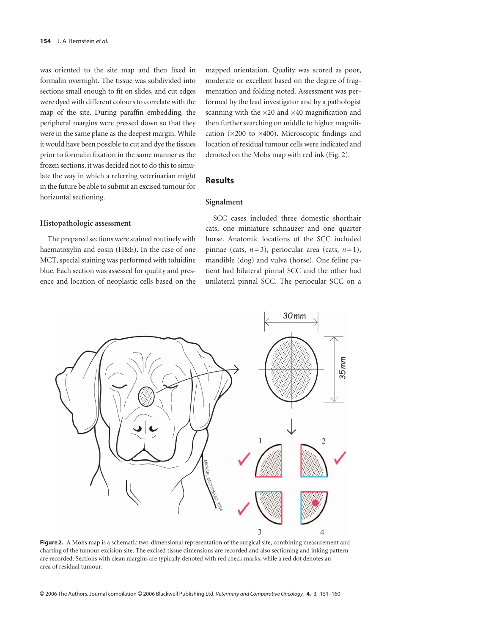was oriented to the site map and then fixed in formalin overnight. The tissue was subdivided into sections small enough to fit on slides, and cut edges were dyed with different colours to correlate with the map of the site. During paraffin embedding, the peripheral margins were pressed down so that they were in the same plane as the deepest margin. While it would have been possible to cut and dye the tissues prior to formalin fixation in the same manner as the frozen sections, it was decided not to do this to simulate the way in which a referring veterinarian might in the future be able to submit an excised tumour for horizontal sectioning.

 **Histopathologic assessment** 

 The prepared sections were stained routinely with haematoxylin and eosin (H&E). In the case of one MCT, special staining was performed with toluidine blue. Each section was assessed for quality and presence and location of neoplastic cells based on the mapped orientation. Quality was scored as poor, moderate or excellent based on the degree of fragmentation and folding noted. Assessment was performed by the lead investigator and by a pathologist scanning with the  $\times 20$  and  $\times 40$  magnification and then further searching on middle to higher magnification ( $\times$ 200 to  $\times$ 400). Microscopic findings and location of residual tumour cells were indicated and denoted on the Mohs map with red ink (Fig. 2).

## **Results**

## **Signalment**

 SCC cases included three domestic shorthair cats, one miniature schnauzer and one quarter horse. Anatomic locations of the SCC included pinnae (cats,  $n=3$ ), periocular area (cats,  $n=1$ ), mandible (dog) and vulva (horse). One feline patient had bilateral pinnal SCC and the other had unilateral pinnal SCC. The periocular SCC on a



**Figure 2.** A Mohs map is a schematic two-dimensional representation of the surgical site, combining measurement and charting of the tumour excision site. The excised tissue dimensions are recorded and also sectioning and inking pattern are recorded. Sections with clean margins are typically denoted with red check marks, while a red dot denotes an area of residual tumour.

© 2006 The Authors. Journal compilation © 2006 Blackwell Publishing Ltd, *Veterinary and Comparative Oncology,* **4,** 3, 151–160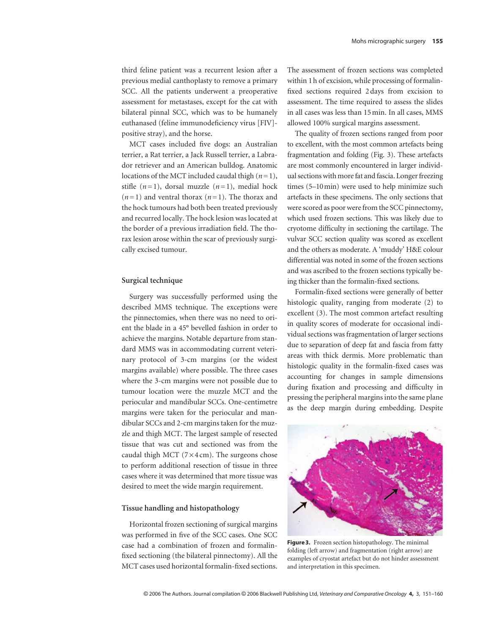third feline patient was a recurrent lesion after a previous medial canthoplasty to remove a primary SCC. All the patients underwent a preoperative assessment for metastases, except for the cat with bilateral pinnal SCC, which was to be humanely euthanased (feline immunodeficiency virus [FIV]positive stray), and the horse.

MCT cases included five dogs: an Australian terrier, a Rat terrier, a Jack Russell terrier, a Labrador retriever and an American bulldog. Anatomic locations of the MCT included caudal thigh  $(n=1)$ , stifle  $(n=1)$ , dorsal muzzle  $(n=1)$ , medial hock  $(n=1)$  and ventral thorax  $(n=1)$ . The thorax and the hock tumours had both been treated previously and recurred locally. The hock lesion was located at the border of a previous irradiation field. The thorax lesion arose within the scar of previously surgically excised tumour.

## **Surgical technique**

 Surgery was successfully performed using the described MMS technique. The exceptions were the pinnectomies, when there was no need to orient the blade in a 45° bevelled fashion in order to achieve the margins. Notable departure from standard MMS was in accommodating current veterinary protocol of 3-cm margins (or the widest margins available) where possible. The three cases where the 3-cm margins were not possible due to tumour location were the muzzle MCT and the periocular and mandibular SCCs. One-centimetre margins were taken for the periocular and mandibular SCCs and 2-cm margins taken for the muzzle and thigh MCT. The largest sample of resected tissue that was cut and sectioned was from the caudal thigh MCT  $(7 \times 4 \text{ cm})$ . The surgeons chose to perform additional resection of tissue in three cases where it was determined that more tissue was desired to meet the wide margin requirement.

## **Tissue handling and histopathology**

 Horizontal frozen sectioning of surgical margins was performed in five of the SCC cases. One SCC case had a combination of frozen and formalinfixed sectioning (the bilateral pinnectomy). All the MCT cases used horizontal formalin-fixed sections.

The assessment of frozen sections was completed within 1 h of excision, while processing of formalinfixed sections required 2 days from excision to assessment. The time required to assess the slides in all cases was less than 15 min. In all cases, MMS allowed 100% surgical margins assessment.

 The quality of frozen sections ranged from poor to excellent, with the most common artefacts being fragmentation and folding (Fig. 3). These artefacts are most commonly encountered in larger individual sections with more fat and fascia. Longer freezing times (5–10 min) were used to help minimize such artefacts in these specimens. The only sections that were scored as poor were from the SCC pinnectomy, which used frozen sections. This was likely due to cryotome difficulty in sectioning the cartilage. The vulvar SCC section quality was scored as excellent and the others as moderate. A 'muddy' H&E colour differential was noted in some of the frozen sections and was ascribed to the frozen sections typically being thicker than the formalin-fixed sections.

Formalin-fixed sections were generally of better histologic quality, ranging from moderate (2) to excellent (3). The most common artefact resulting in quality scores of moderate for occasional individual sections was fragmentation of larger sections due to separation of deep fat and fascia from fatty areas with thick dermis. More problematic than histologic quality in the formalin-fixed cases was accounting for changes in sample dimensions during fixation and processing and difficulty in pressing the peripheral margins into the same plane as the deep margin during embedding. Despite



 **Figure 3.** Frozen section histopathology. The minimal folding (left arrow) and fragmentation (right arrow) are examples of cryostat artefact but do not hinder assessment and interpretation in this specimen.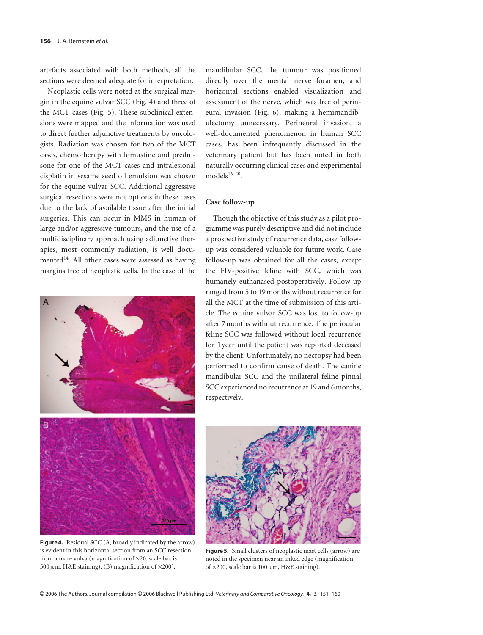artefacts associated with both methods, all the sections were deemed adequate for interpretation.

 Neoplastic cells were noted at the surgical margin in the equine vulvar SCC ( Fig. 4) and three of the MCT cases (Fig. 5). These subclinical extensions were mapped and the information was used to direct further adjunctive treatments by oncologists. Radiation was chosen for two of the MCT cases, chemotherapy with lomustine and prednisone for one of the MCT cases and intralesional cisplatin in sesame seed oil emulsion was chosen for the equine vulvar SCC. Additional aggressive surgical resections were not options in these cases due to the lack of available tissue after the initial surgeries. This can occur in MMS in human of large and/or aggressive tumours, and the use of a multidisciplinary approach using adjunctive therapies, most commonly radiation, is well documented $14$ . All other cases were assessed as having margins free of neoplastic cells. In the case of the



mandibular SCC, the tumour was positioned directly over the mental nerve foramen, and horizontal sections enabled visualization and assessment of the nerve, which was free of perineural invasion (Fig. 6), making a hemimandibulectomy unnecessary. Perineural invasion, a well-documented phenomenon in human SCC cases, has been infrequently discussed in the veterinary patient but has been noted in both naturally occurring clinical cases and experimental  $models^{16-20}$ .

# **Case follow-up**

 Though the objective of this study as a pilot programme was purely descriptive and did not include a prospective study of recurrence data, case followup was considered valuable for future work. Case follow-up was obtained for all the cases, except the FIV-positive feline with SCC, which was humanely euthanased postoperatively. Follow-up ranged from 5 to 19 months without recurrence for all the MCT at the time of submission of this article. The equine vulvar SCC was lost to follow-up after 7 months without recurrence. The periocular feline SCC was followed without local recurrence for 1 year until the patient was reported deceased by the client. Unfortunately, no necropsy had been performed to confirm cause of death. The canine mandibular SCC and the unilateral feline pinnal SCC experienced no recurrence at 19 and 6 months, respectively.



 **Figure 4.** Residual SCC (A, broadly indicated by the arrow) is evident in this horizontal section from an SCC resection from a mare vulva (magnification of  $\times$ 20, scale bar is 500  $\mu$ m, H&E staining). (B) magnification of  $\times$ 200).



 **Figure 5.** Small clusters of neoplastic mast cells (arrow) are noted in the specimen near an inked edge (magnification of  $\times$ 200, scale bar is 100  $\mu$ m, H&E staining).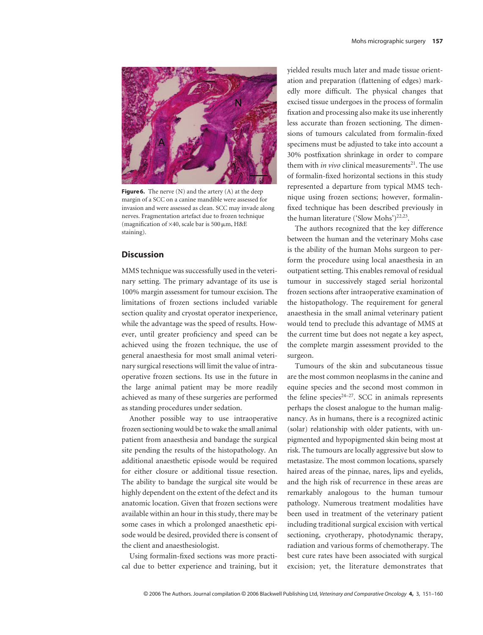

**Figure 6.** The nerve (N) and the artery (A) at the deep margin of a SCC on a canine mandible were assessed for invasion and were assessed as clean. SCC may invade along nerves. Fragmentation artefact due to frozen technique (magnification of  $\times$ 40, scale bar is 500  $\mu$ m, H&E staining).

# **Discussion**

 MMS technique was successfully used in the veterinary setting. The primary advantage of its use is 100% margin assessment for tumour excision. The limitations of frozen sections included variable section quality and cryostat operator inexperience, while the advantage was the speed of results. However, until greater proficiency and speed can be achieved using the frozen technique, the use of general anaesthesia for most small animal veterinary surgical resections will limit the value of intraoperative frozen sections. Its use in the future in the large animal patient may be more readily achieved as many of these surgeries are performed as standing procedures under sedation.

 Another possible way to use intraoperative frozen sectioning would be to wake the small animal patient from anaesthesia and bandage the surgical site pending the results of the histopathology. An additional anaesthetic episode would be required for either closure or additional tissue resection. The ability to bandage the surgical site would be highly dependent on the extent of the defect and its anatomic location. Given that frozen sections were available within an hour in this study, there may be some cases in which a prolonged anaesthetic episode would be desired, provided there is consent of the client and anaesthesiologist.

Using formalin-fixed sections was more practical due to better experience and training, but it yielded results much later and made tissue orientation and preparation (flattening of edges) markedly more difficult. The physical changes that excised tissue undergoes in the process of formalin fixation and processing also make its use inherently less accurate than frozen sectioning. The dimensions of tumours calculated from formalin-fixed specimens must be adjusted to take into account a 30% postfixation shrinkage in order to compare them with *in vivo* clinical measurements<sup>21</sup>. The use of formalin-fi xed horizontal sections in this study represented a departure from typical MMS technique using frozen sections; however, formalinfixed technique has been described previously in the human literature ('Slow Mohs')<sup>22,23</sup>.

 The authors recognized that the key difference between the human and the veterinary Mohs case is the ability of the human Mohs surgeon to perform the procedure using local anaesthesia in an outpatient setting. This enables removal of residual tumour in successively staged serial horizontal frozen sections after intraoperative examination of the histopathology. The requirement for general anaesthesia in the small animal veterinary patient would tend to preclude this advantage of MMS at the current time but does not negate a key aspect, the complete margin assessment provided to the surgeon.

 Tumours of the skin and subcutaneous tissue are the most common neoplasms in the canine and equine species and the second most common in the feline species $24-27$ . SCC in animals represents perhaps the closest analogue to the human malignancy. As in humans, there is a recognized actinic (solar) relationship with older patients, with unpigmented and hypopigmented skin being most at risk. The tumours are locally aggressive but slow to metastasize. The most common locations, sparsely haired areas of the pinnae, nares, lips and eyelids, and the high risk of recurrence in these areas are remarkably analogous to the human tumour pathology. Numerous treatment modalities have been used in treatment of the veterinary patient including traditional surgical excision with vertical sectioning, cryotherapy, photodynamic therapy, radiation and various forms of chemotherapy. The best cure rates have been associated with surgical excision; yet, the literature demonstrates that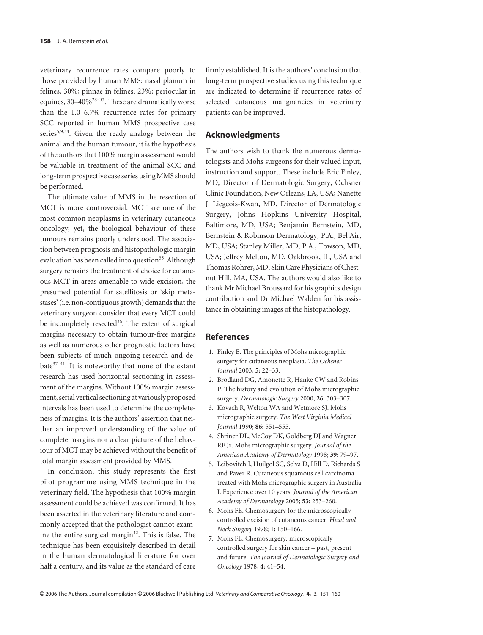veterinary recurrence rates compare poorly to those provided by human MMS: nasal planum in felines, 30%; pinnae in felines, 23%; periocular in equines,  $30-40\%^{28-33}$ . These are dramatically worse than the  $1.0 - 6.7\%$  recurrence rates for primary SCC reported in human MMS prospective case series $5,9,34$ . Given the ready analogy between the animal and the human tumour, it is the hypothesis of the authors that 100% margin assessment would be valuable in treatment of the animal SCC and long-term prospective case series using MMS should be performed.

 The ultimate value of MMS in the resection of MCT is more controversial. MCT are one of the most common neoplasms in veterinary cutaneous oncology; yet, the biological behaviour of these tumours remains poorly understood. The association between prognosis and histopathologic margin evaluation has been called into question<sup>35</sup>. Although surgery remains the treatment of choice for cutaneous MCT in areas amenable to wide excision, the presumed potential for satellitosis or 'skip metastases ' (i.e. non-contiguous growth) demands that the veterinary surgeon consider that every MCT could be incompletely resected<sup>36</sup>. The extent of surgical margins necessary to obtain tumour-free margins as well as numerous other prognostic factors have been subjects of much ongoing research and debate $37-41$ . It is noteworthy that none of the extant research has used horizontal sectioning in assessment of the margins. Without 100% margin assessment, serial vertical sectioning at variously proposed intervals has been used to determine the completeness of margins. It is the authors' assertion that neither an improved understanding of the value of complete margins nor a clear picture of the behaviour of MCT may be achieved without the benefit of total margin assessment provided by MMS.

In conclusion, this study represents the first pilot programme using MMS technique in the veterinary field. The hypothesis that 100% margin assessment could be achieved was confirmed. It has been asserted in the veterinary literature and commonly accepted that the pathologist cannot examine the entire surgical margin 42 . This is false. The technique has been exquisitely described in detail in the human dermatological literature for over half a century, and its value as the standard of care firmly established. It is the authors' conclusion that long-term prospective studies using this technique are indicated to determine if recurrence rates of selected cutaneous malignancies in veterinary patients can be improved.

# **Acknowledgments**

 The authors wish to thank the numerous dermatologists and Mohs surgeons for their valued input, instruction and support. These include Eric Finley, MD, Director of Dermatologic Surgery, Ochsner Clinic Foundation, New Orleans, LA, USA; Nanette J. Liegeois-Kwan, MD, Director of Dermatologic Surgery, Johns Hopkins University Hospital, Baltimore, MD, USA; Benjamin Bernstein, MD, Bernstein & Robinson Dermatology, P.A., Bel Air, MD, USA; Stanley Miller, MD, P.A., Towson, MD, USA; Jeffrey Melton, MD, Oakbrook, IL, USA and Thomas Rohrer, MD, Skin Care Physicians of Chestnut Hill, MA, USA. The authors would also like to thank Mr Michael Broussard for his graphics design contribution and Dr Michael Walden for his assistance in obtaining images of the histopathology.

### **References**

- 1. Finley E. The principles of Mohs micrographic surgery for cutaneous neoplasia . *The Ochsner Journal* 2003; 5: 22-33.
- 2. Brodland DG, Amonette R, Hanke CW and Robins P. The history and evolution of Mohs micrographic surgery. *Dermatologic Surgery* 2000; 26: 303-307.
- 3. Kovach R, Welton WA and Wetmore SJ. Mohs micrographic surgery . *The West Virginia Medical Journal* 1990; 86: 551-555.
- 4. Shriner DL, McCoy DK, Goldberg DJ and Wagner RF Jr . Mohs micrographic surgery . *Journal of the*  American Academy of Dermatology 1998; 39: 79-97.
- 5. Leibovitch I, Huilgol SC, Selva D, Hill D, Richards S and Paver R. Cutaneous squamous cell carcinoma treated with Mohs micrographic surgery in Australia I. Experience over 10 years . *Journal of the American Academy of Dermatology* 2005 ; **53 :** 253 – 260 .
- 6. Mohs FE . Chemosurgery for the microscopically controlled excision of cutaneous cancer . *Head and Neck Surgery* 1978; 1: 150-166.
- 7. Mohs FE . Chemosurgery: microscopically controlled surgery for skin cancer – past, present and future . *The Journal of Dermatologic Surgery and Oncology* 1978; 4: 41-54.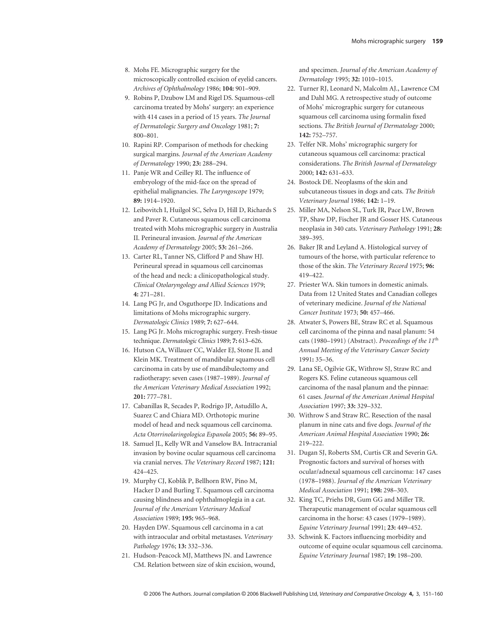- 8. Mohs FE . Micrographic surgery for the microscopically controlled excision of eyelid cancers . *Archives of Ophthalmology* 1986 ; **104 :** 901 – 909 .
- 9. Robins P, Dzubow LM and Rigel DS. Squamous-cell carcinoma treated by Mohs' surgery: an experience with 414 cases in a period of 15 years . *The Journal of Dermatologic Surgery and Oncology* 1981 ; **7 :** 800-801.
- 10. Rapini RP. Comparison of methods for checking surgical margins . *Journal of the American Academy of Dermatology* 1990; 23: 288-294.
- 11. Panje WR and Ceilley RI. The influence of embryology of the mid-face on the spread of epithelial malignancies. The Laryngoscope 1979; 89: 1914-1920.
- 12. Leibovitch I, Huilgol SC, Selva D, Hill D, Richards S and Paver R. Cutaneous squamous cell carcinoma treated with Mohs micrographic surgery in Australia II. Perineural invasion . *Journal of the American Academy of Dermatology* 2005 ; **53 :** 261 – 266 .
- 13. Carter RL, Tanner NS, Clifford P and Shaw HJ. Perineural spread in squamous cell carcinomas of the head and neck: a clinicopathological study . *Clinical Otolaryngology and Allied Sciences* 1979 ; **4:** 271 – 281 .
- 14. Lang PG Jr, and Osguthorpe JD. Indications and limitations of Mohs micrographic surgery . *Dermatologic Clinics* 1989 ; **7:** 627 – 644 .
- 15. Lang PG Jr. Mohs micrographic surgery. Fresh-tissue technique. *Dermatologic Clinics* 1989; 7: 613-626.
- 16. Hutson CA, Willauer CC, Walder EJ, Stone JL and Klein MK. Treatment of mandibular squamous cell carcinoma in cats by use of mandibulectomy and radiotherapy: seven cases (1987–1989). *Journal of the American Veterinary Medical Association* 1992 ; **201:** 777-781.
- 17. Cabanillas R, Secades P, Rodrigo JP, Astudillo A, Suarez C and Chiara MD. Orthotopic murine model of head and neck squamous cell carcinoma . *Acta Otorrinolaringologica Espanola* 2005 ; **56 :** 89 – 95 .
- 18. Samuel JL, Kelly WR and Vanselow BA. Intracranial invasion by bovine ocular squamous cell carcinoma via cranial nerves. The Veterinary Record 1987; 121:  $424 - 425$
- 19. Murphy CJ, Koblik P, Bellhorn RW, Pino M, Hacker D and Burling T. Squamous cell carcinoma causing blindness and ophthalmoplegia in a cat. *Journal of the American Veterinary Medical Association* 1989 ; **195 :** 965 – 968 .
- 20. Hayden DW. Squamous cell carcinoma in a cat with intraocular and orbital metastases . *Veterinary*  Pathology 1976; 13: 332-336.
- 21. Hudson-Peacock MI, Matthews IN, and Lawrence CM. Relation between size of skin excision, wound,

and specimen . *Journal of the American Academy of Dermatology* 1995; 32: 1010-1015.

- 22. Turner RJ, Leonard N, Malcolm AJ., Lawrence CM and Dahl MG. A retrospective study of outcome of Mohs' micrographic surgery for cutaneous squamous cell carcinoma using formalin fixed sections. The British Journal of Dermatology 2000; 142: 752-757.
- 23. Telfer NR. Mohs' micrographic surgery for cutaneous squamous cell carcinoma: practical considerations . *The British Journal of Dermatology* 2000; 142: 631-633.
- 24. Bostock DE. Neoplasms of the skin and subcutaneous tissues in dogs and cats . *The British Veterinary Journal* 1986; 142: 1-19.
- 25. Miller MA, Nelson SL, Turk JR, Pace LW, Brown TP, Shaw DP, Fischer JR and Gosser HS. Cutaneous neoplasia in 340 cats. *Veterinary Pathology* 1991; 28: 389 – 395.
- 26. Baker JR and Leyland A. Histological survey of tumours of the horse, with particular reference to those of the skin. The Veterinary Record 1975; 96: 419 – 422.
- 27. Priester WA . Skin tumors in domestic animals. Data from 12 United States and Canadian colleges of veterinary medicine . *Journal of the National*  Cancer Institute 1973; **50:** 457-466.
- 28. Atwater S, Powers BE, Straw RC et al. Squamous cell carcinoma of the pinna and nasal planum: 54 cats (1980–1991) (Abstract). *Proceedings of the 11<sup>th</sup> Annual Meeting of the Veterinary Cancer Society* 1991: 35-36.
- 29. Lana SE, Ogilvie GK, Withrow SJ, Straw RC and Rogers KS . Feline cutaneous squamous cell carcinoma of the nasal planum and the pinnae: 61 cases . *Journal of the American Animal Hospital Association* 1997 ; **33 :** 329 – 332 .
- 30. Withrow S and Straw RC . Resection of the nasal planum in nine cats and five dogs. *Journal of the American Animal Hospital Association 1990; 26:* 219 – 222.
- 31. Dugan SJ, Roberts SM, Curtis CR and Severin GA. Prognostic factors and survival of horses with ocular/adnexal squamous cell carcinoma: 147 cases (1978 – 1988 ). *Journal of the American Veterinary Medical Association* 1991 ; **198 :** 298 – 303 .
- 32. King TC, Priehs DR, Gum GG and Miller TR. Therapeutic management of ocular squamous cell carcinoma in the horse: 43 cases (1979-1989). *Equine Veterinary Journal* 1991 ; **23 :** 449 – 452 .
- 33. Schwink K. Factors influencing morbidity and outcome of equine ocular squamous cell carcinoma . *Equine Veterinary Journal* 1987 ; **19 :** 198 – 200 .